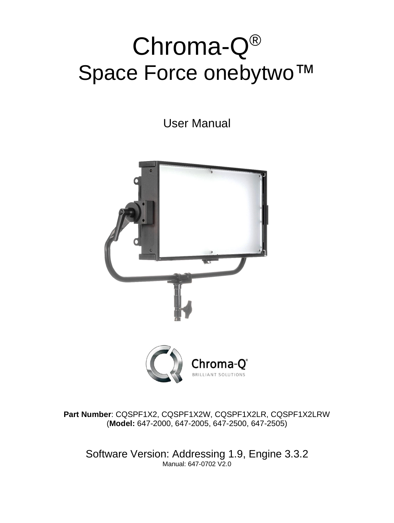# Chroma-Q® Space Force onebytwo™

User Manual



**Part Number**: CQSPF1X2, CQSPF1X2W, CQSPF1X2LR, CQSPF1X2LRW (**Model:** 647-2000, 647-2005, 647-2500, 647-2505)

Software Version: Addressing 1.9, Engine 3.3.2 Manual: 647-0702 V2.0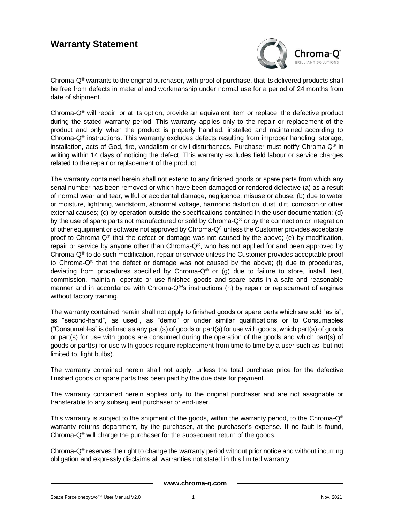### **Warranty Statement**



Chroma- $Q^{\circ}$  warrants to the original purchaser, with proof of purchase, that its delivered products shall be free from defects in material and workmanship under normal use for a period of 24 months from date of shipment.

Chroma- $Q^{\circledR}$  will repair, or at its option, provide an equivalent item or replace, the defective product during the stated warranty period. This warranty applies only to the repair or replacement of the product and only when the product is properly handled, installed and maintained according to Chroma- $Q^{\circ}$  instructions. This warranty excludes defects resulting from improper handling, storage, installation, acts of God, fire, vandalism or civil disturbances. Purchaser must notify Chroma-Q® in writing within 14 days of noticing the defect. This warranty excludes field labour or service charges related to the repair or replacement of the product.

The warranty contained herein shall not extend to any finished goods or spare parts from which any serial number has been removed or which have been damaged or rendered defective (a) as a result of normal wear and tear, wilful or accidental damage, negligence, misuse or abuse; (b) due to water or moisture, lightning, windstorm, abnormal voltage, harmonic distortion, dust, dirt, corrosion or other external causes; (c) by operation outside the specifications contained in the user documentation; (d) by the use of spare parts not manufactured or sold by Chroma-Q<sup>®</sup> or by the connection or integration of other equipment or software not approved by Chroma- $Q^{\circledast}$  unless the Customer provides acceptable proof to Chroma-Q® that the defect or damage was not caused by the above; (e) by modification, repair or service by anyone other than Chroma- $Q^{\circ}$ , who has not applied for and been approved by Chroma-Q® to do such modification, repair or service unless the Customer provides acceptable proof to Chroma-Q® that the defect or damage was not caused by the above; (f) due to procedures, deviating from procedures specified by Chroma- $Q^{\circledast}$  or (g) due to failure to store, install, test, commission, maintain, operate or use finished goods and spare parts in a safe and reasonable manner and in accordance with Chroma-Q®'s instructions (h) by repair or replacement of engines without factory training.

The warranty contained herein shall not apply to finished goods or spare parts which are sold "as is", as "second-hand", as used", as "demo" or under similar qualifications or to Consumables ("Consumables" is defined as any part(s) of goods or part(s) for use with goods, which part(s) of goods or part(s) for use with goods are consumed during the operation of the goods and which part(s) of goods or part(s) for use with goods require replacement from time to time by a user such as, but not limited to, light bulbs).

The warranty contained herein shall not apply, unless the total purchase price for the defective finished goods or spare parts has been paid by the due date for payment.

The warranty contained herein applies only to the original purchaser and are not assignable or transferable to any subsequent purchaser or end-user.

This warranty is subject to the shipment of the goods, within the warranty period, to the Chroma- $Q^{\circledast}$ warranty returns department, by the purchaser, at the purchaser's expense. If no fault is found, Chroma- $Q^{\circledast}$  will charge the purchaser for the subsequent return of the goods.

Chroma- $Q^{\circ}$  reserves the right to change the warranty period without prior notice and without incurring obligation and expressly disclaims all warranties not stated in this limited warranty.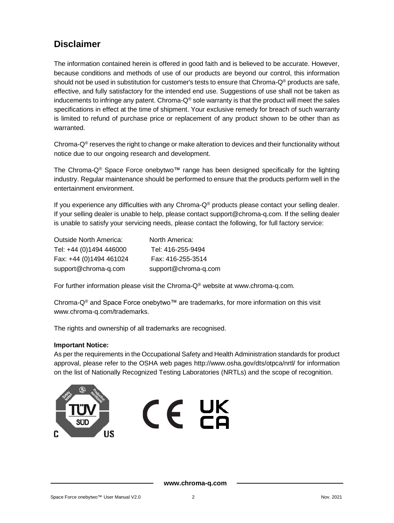### **Disclaimer**

The information contained herein is offered in good faith and is believed to be accurate. However, because conditions and methods of use of our products are beyond our control, this information should not be used in substitution for customer's tests to ensure that Chroma-Q® products are safe, effective, and fully satisfactory for the intended end use. Suggestions of use shall not be taken as inducements to infringe any patent. Chroma- $Q^{\circledast}$  sole warranty is that the product will meet the sales specifications in effect at the time of shipment. Your exclusive remedy for breach of such warranty is limited to refund of purchase price or replacement of any product shown to be other than as warranted.

Chroma- $Q^{\circ}$  reserves the right to change or make alteration to devices and their functionality without notice due to our ongoing research and development.

The Chroma-Q® Space Force onebytwo™ range has been designed specifically for the lighting industry. Regular maintenance should be performed to ensure that the products perform well in the entertainment environment.

If you experience any difficulties with any Chroma-Q® products please contact your selling dealer. If your selling dealer is unable to help, please contact support@chroma-q.com. If the selling dealer is unable to satisfy your servicing needs, please contact the following, for full factory service:

| <b>Outside North America:</b> | North America:       |
|-------------------------------|----------------------|
| Tel: +44 (0)1494 446000       | Tel: 416-255-9494    |
| Fax: +44 (0)1494 461024       | Fax: 416-255-3514    |
| support@chroma-q.com          | support@chroma-q.com |

For further information please visit the Chroma- $Q^{\circ}$  website at www.chroma-q.com.

Chroma-Q® and Space Force onebytwo™ are trademarks, for more information on this visit [www.chroma-q.com/trademarks.](http://www.chroma-q.com/trademarks)

The rights and ownership of all trademarks are recognised.

#### **Important Notice:**

As per the requirements in the Occupational Safety and Health Administration standards for product approval, please refer to the OSHA web pages<http://www.osha.gov/dts/otpca/nrtl/> for information on the list of Nationally Recognized Testing Laboratories (NRTLs) and the scope of recognition.

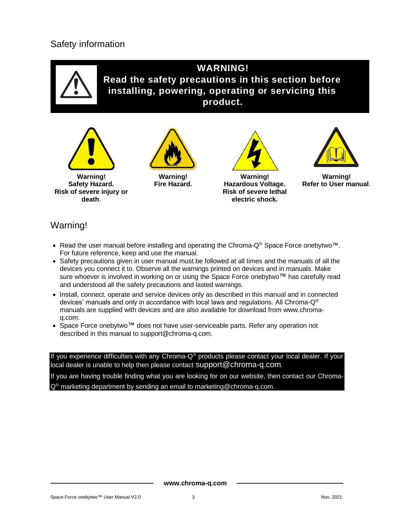### Safety information



### Warning!

- Read the user manual before installing and operating the Chroma-Q® Space Force onebytwo™. For future reference, keep and use the manual.
- Safety precautions given in user manual must be followed at all times and the manuals of all the devices you connect it to. Observe all the warnings printed on devices and in manuals. Make sure whoever is involved in working on or using the Space Force onebytwo™ has carefully read and understood all the safety precautions and lasted warnings.
- Install, connect, operate and service devices only as described in this manual and in connected devices' manuals and only in accordance with local laws and regulations. All Chroma-Q® manuals are supplied with devices and are also available for download from www.chromaq.com.
- Space Force onebytwo™ does not have user-serviceable parts. Refer any operation not described in this manual to [support@chroma-q.com.](mailto:support@chroma-q.com)

If you experience difficulties with any Chroma-Q® products please contact your local dealer. If your local dealer is unable to help then please contact [support@chroma-q.com](mailto:support@chroma-q.com).

If you are having trouble finding what you are looking for on our website, then contact our Chroma- $Q^{\circledR}$  marketing department by sending an email to marketing  $\circledR$  chroma-g.com.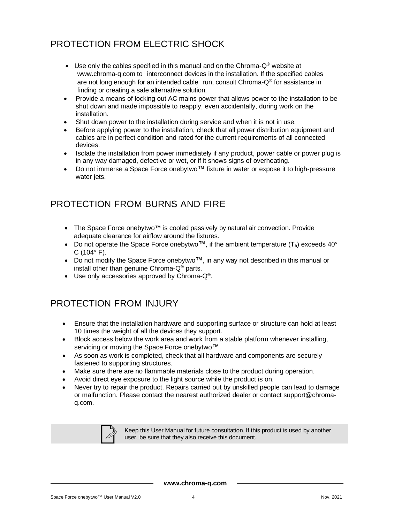### PROTECTION FROM ELECTRIC SHOCK

- Use only the cables specified in this manual and on the Chroma- $Q^{\circledast}$  website at [www.chroma-q.com](http://www.chroma-q.com/) to interconnect devices in the installation. If the specified cables are not long enough for an intended cable run, consult Chroma-Q® for assistance in finding or creating a safe alternative solution.
- Provide a means of locking out AC mains power that allows power to the installation to be shut down and made impossible to reapply, even accidentally, during work on the installation.
- Shut down power to the installation during service and when it is not in use.
- Before applying power to the installation, check that all power distribution equipment and cables are in perfect condition and rated for the current requirements of all connected devices.
- Isolate the installation from power immediately if any product, power cable or power plug is in any way damaged, defective or wet, or if it shows signs of overheating.
- Do not immerse a Space Force onebytwo™ fixture in water or expose it to high-pressure water jets.

### PROTECTION FROM BURNS AND FIRE

- The Space Force onebytwo™ is cooled passively by natural air convection. Provide adequate clearance for airflow around the fixtures.
- Do not operate the Space Force onebytwo $^{TM}$ , if the ambient temperature (T<sub>a</sub>) exceeds 40°  $C(104° F)$ .
- Do not modify the Space Force onebytwo™, in any way not described in this manual or install other than genuine Chroma-Q® parts.
- Use only accessories approved by Chroma-Q®.

### PROTECTION FROM INJURY

- Ensure that the installation hardware and supporting surface or structure can hold at least 10 times the weight of all the devices they support.
- Block access below the work area and work from a stable platform whenever installing, servicing or moving the Space Force onebytwo™.
- As soon as work is completed, check that all hardware and components are securely fastened to supporting structures.
- Make sure there are no flammable materials close to the product during operation.
- Avoid direct eye exposure to the light source while the product is on.
- Never try to repair the product. Repairs carried out by unskilled people can lead to damage or malfunction. Please contact the nearest authorized dealer or contact [support@chroma](mailto:support@chroma-q.com)[q.com.](mailto:support@chroma-q.com)



Keep this User Manual for future consultation. If this product is used by another user, be sure that they also receive this document.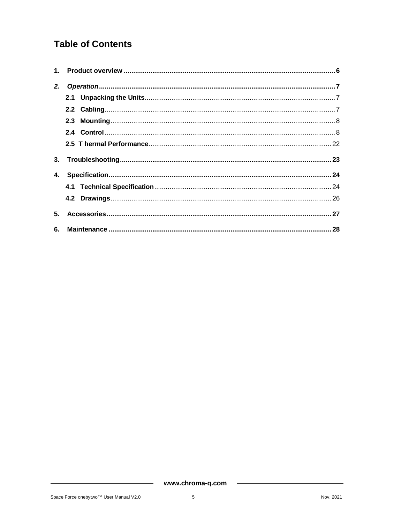### **Table of Contents**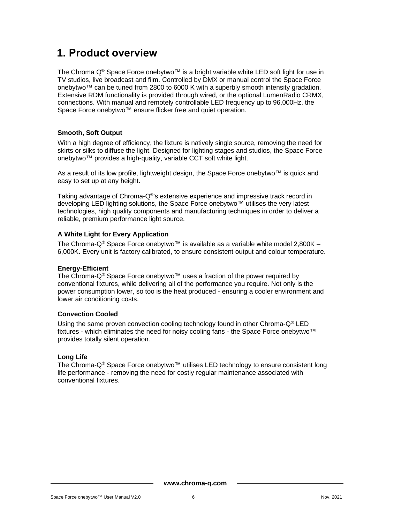# <span id="page-6-0"></span>**1. Product overview**

The Chroma Q® Space Force onebytwo™ is a bright variable white LED soft light for use in TV studios, live broadcast and film. Controlled by DMX or manual control the Space Force onebytwo™ can be tuned from 2800 to 6000 K with a superbly smooth intensity gradation. Extensive RDM functionality is provided through wired, or the optional LumenRadio CRMX, connections. With manual and remotely controllable LED frequency up to 96,000Hz, the Space Force onebytwo™ ensure flicker free and quiet operation.

#### **Smooth, Soft Output**

With a high degree of efficiency, the fixture is natively single source, removing the need for skirts or silks to diffuse the light. Designed for lighting stages and studios, the Space Force onebytwo™ provides a high-quality, variable CCT soft white light.

As a result of its low profile, lightweight design, the Space Force onebytwo™ is quick and easy to set up at any height.

Taking advantage of Chroma-Q®'s extensive experience and impressive track record in developing LED lighting solutions, the Space Force onebytwo™ utilises the very latest technologies, high quality components and manufacturing techniques in order to deliver a reliable, premium performance light source.

#### **A White Light for Every Application**

The Chroma-Q<sup>®</sup> Space Force onebytwo™ is available as a variable white model 2,800K – 6,000K. Every unit is factory calibrated, to ensure consistent output and colour temperature.

#### **Energy-Efficient**

The Chroma-Q® Space Force onebytwo™ uses a fraction of the power required by conventional fixtures, while delivering all of the performance you require. Not only is the power consumption lower, so too is the heat produced - ensuring a cooler environment and lower air conditioning costs.

#### **Convection Cooled**

Using the same proven convection cooling technology found in other Chroma-Q® LED fixtures - which eliminates the need for noisy cooling fans - the Space Force onebytwo™ provides totally silent operation.

#### **Long Life**

The Chroma-Q® Space Force onebytwo™ utilises LED technology to ensure consistent long life performance - removing the need for costly regular maintenance associated with conventional fixtures.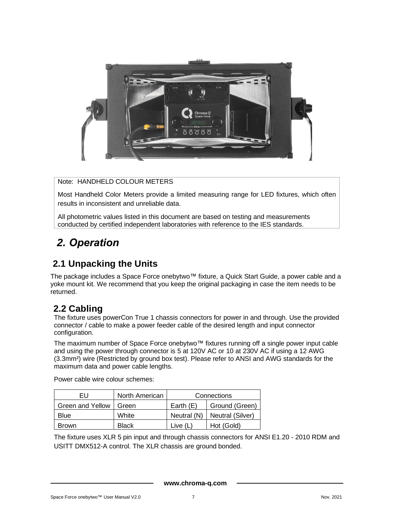

Note: HANDHELD COLOUR METERS

Most Handheld Color Meters provide a limited measuring range for LED fixtures, which often results in inconsistent and unreliable data.

All photometric values listed in this document are based on testing and measurements conducted by certified independent laboratories with reference to the IES standards.

# <span id="page-7-0"></span>*2. Operation*

### <span id="page-7-1"></span>**2.1 Unpacking the Units**

The package includes a Space Force onebytwo™ fixture, a Quick Start Guide, a power cable and a yoke mount kit. We recommend that you keep the original packaging in case the item needs to be returned.

### <span id="page-7-2"></span>**2.2 Cabling**

The fixture uses powerCon True 1 chassis connectors for power in and through. Use the provided connector / cable to make a power feeder cable of the desired length and input connector configuration.

The maximum number of Space Force onebytwo™ fixtures running off a single power input cable and using the power through connector is 5 at 120V AC or 10 at 230V AC if using a 12 AWG (3.3mm²) wire (Restricted by ground box test). Please refer to ANSI and AWG standards for the maximum data and power cable lengths.

Power cable wire colour schemes:

| EU               | North American | Connections |                  |  |
|------------------|----------------|-------------|------------------|--|
| Green and Yellow | Green          | Earth $(E)$ | Ground (Green)   |  |
| <b>Blue</b>      | White          | Neutral (N) | Neutral (Silver) |  |
| <b>Brown</b>     | <b>Black</b>   | Live (L)    | Hot (Gold)       |  |

The fixture uses XLR 5 pin input and through chassis connectors for ANSI E1.20 - 2010 RDM and USITT DMX512-A control. The XLR chassis are ground bonded.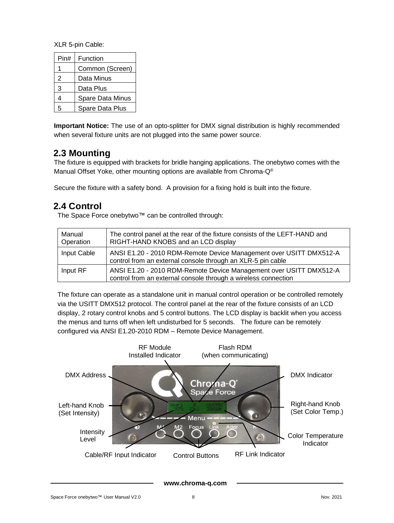XLR 5-pin Cable:

| Pin# | Function         |
|------|------------------|
|      | Common (Screen)  |
| 2    | Data Minus       |
| 3    | Data Plus        |
| 4    | Spare Data Minus |
| 5    | Spare Data Plus  |

**Important Notice:** The use of an opto-splitter for DMX signal distribution is highly recommended when several fixture units are not plugged into the same power source.

### <span id="page-8-0"></span>**2.3 Mounting**

The fixture is equipped with brackets for bridle hanging applications. The onebytwo comes with the Manual Offset Yoke, other mounting options are available from Chroma-Q®

Secure the fixture with a safety bond. A provision for a fixing hold is built into the fixture.

### <span id="page-8-1"></span>**2.4 Control**

The Space Force onebytwo™ can be controlled through:

| Manual<br>Operation | The control panel at the rear of the fixture consists of the LEFT-HAND and<br>RIGHT-HAND KNOBS and an LCD display                    |
|---------------------|--------------------------------------------------------------------------------------------------------------------------------------|
| Input Cable         | ANSI E1.20 - 2010 RDM-Remote Device Management over USITT DMX512-A<br>control from an external console through an XLR-5 pin cable    |
| Input RF            | ANSI E1.20 - 2010 RDM-Remote Device Management over USITT DMX512-A<br>control from an external console through a wireless connection |

The fixture can operate as a standalone unit in manual control operation or be controlled remotely via the USITT DMX512 protocol. The control panel at the rear of the fixture consists of an LCD display, 2 rotary control knobs and 5 control buttons. The LCD display is backlit when you access the menus and turns off when left undisturbed for 5 seconds. The fixture can be remotely configured via ANSI E1.20-2010 RDM – Remote Device Management.

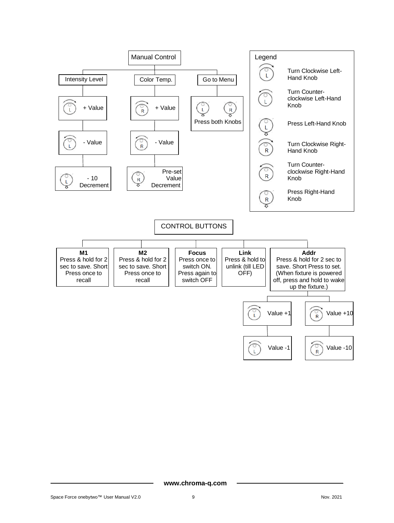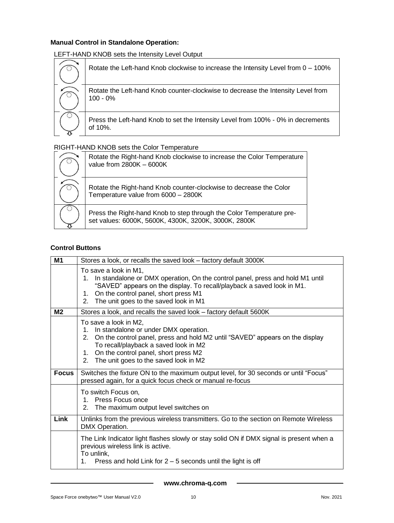#### **Manual Control in Standalone Operation:**

LEFT-HAND KNOB sets the Intensity Level Output

| Rotate the Left-hand Knob clockwise to increase the Intensity Level from 0 - 100%              |
|------------------------------------------------------------------------------------------------|
| Rotate the Left-hand Knob counter-clockwise to decrease the Intensity Level from<br>$100 - 0%$ |
| Press the Left-hand Knob to set the Intensity Level from 100% - 0% in decrements<br>of 10%.    |

#### RIGHT-HAND KNOB sets the Color Temperature

| Rotate the Right-hand Knob clockwise to increase the Color Temperature<br>value from 2800K - 6000K                           |
|------------------------------------------------------------------------------------------------------------------------------|
| Rotate the Right-hand Knob counter-clockwise to decrease the Color<br>Temperature value from 6000 - 2800K                    |
| Press the Right-hand Knob to step through the Color Temperature pre-<br>set values: 6000K, 5600K, 4300K, 3200K, 3000K, 2800K |

#### **Control Buttons**

| M1             | Stores a look, or recalls the saved look - factory default 3000K                                                                                                                                                                                                                             |
|----------------|----------------------------------------------------------------------------------------------------------------------------------------------------------------------------------------------------------------------------------------------------------------------------------------------|
|                | To save a look in M1,<br>1. In standalone or DMX operation, On the control panel, press and hold M1 until<br>"SAVED" appears on the display. To recall/playback a saved look in M1.<br>On the control panel, short press M1<br>1.<br>The unit goes to the saved look in M1<br>2 <sub>1</sub> |
| M <sub>2</sub> | Stores a look, and recalls the saved look - factory default 5600K                                                                                                                                                                                                                            |
|                | To save a look in M2,<br>1. In standalone or under DMX operation.<br>2. On the control panel, press and hold M2 until "SAVED" appears on the display<br>To recall/playback a saved look in M2<br>1. On the control panel, short press M2<br>2. The unit goes to the saved look in M2         |
| Focus          | Switches the fixture ON to the maximum output level, for 30 seconds or until "Focus"<br>pressed again, for a quick focus check or manual re-focus                                                                                                                                            |
|                | To switch Focus on,<br>1. Press Focus once<br>2. The maximum output level switches on                                                                                                                                                                                                        |
| Link           | Unlinks from the previous wireless transmitters. Go to the section on Remote Wireless<br>DMX Operation.                                                                                                                                                                                      |
|                | The Link Indicator light flashes slowly or stay solid ON if DMX signal is present when a<br>previous wireless link is active.<br>To unlink,<br>Press and hold Link for $2 - 5$ seconds until the light is off<br>1.                                                                          |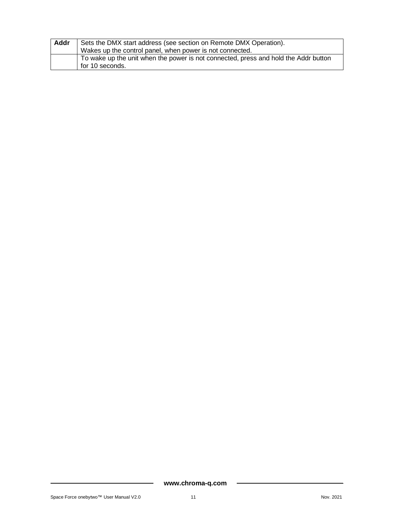| Addr | Sets the DMX start address (see section on Remote DMX Operation).                                      |  |  |
|------|--------------------------------------------------------------------------------------------------------|--|--|
|      | Wakes up the control panel, when power is not connected.                                               |  |  |
|      | To wake up the unit when the power is not connected, press and hold the Addr button<br>for 10 seconds. |  |  |
|      |                                                                                                        |  |  |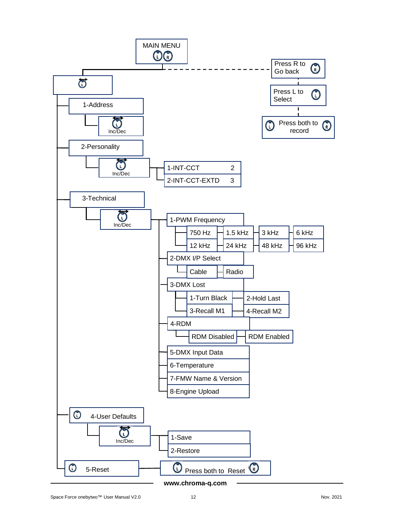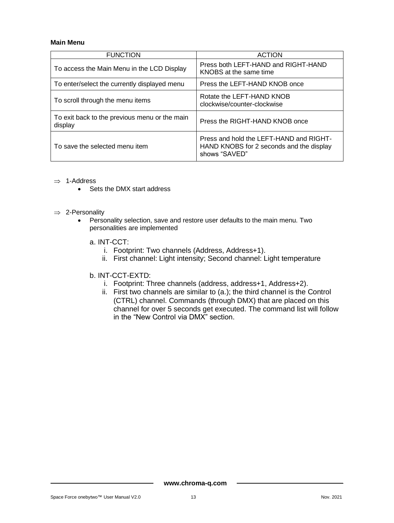#### **Main Menu**

| <b>FUNCTION</b>                                          | <b>ACTION</b>                                                                                        |
|----------------------------------------------------------|------------------------------------------------------------------------------------------------------|
| To access the Main Menu in the LCD Display               | Press both LEFT-HAND and RIGHT-HAND<br>KNOBS at the same time                                        |
| To enter/select the currently displayed menu             | Press the LEFT-HAND KNOB once                                                                        |
| To scroll through the menu items                         | Rotate the LEFT-HAND KNOB<br>clockwise/counter-clockwise                                             |
| To exit back to the previous menu or the main<br>display | Press the RIGHT-HAND KNOB once                                                                       |
| To save the selected menu item                           | Press and hold the LEFT-HAND and RIGHT-<br>HAND KNOBS for 2 seconds and the display<br>shows "SAVED" |

- $\Rightarrow$  1-Address
	- Sets the DMX start address
- $\Rightarrow$  2-Personality
	- Personality selection, save and restore user defaults to the main menu. Two personalities are implemented
		- a. INT-CCT:
			- i. Footprint: Two channels (Address, Address+1).
			- ii. First channel: Light intensity; Second channel: Light temperature
		- b. INT-CCT-EXTD:
			- i. Footprint: Three channels (address, address+1, Address+2).
			- ii. First two channels are similar to (a.); the third channel is the Control (CTRL) channel. Commands (through DMX) that are placed on this channel for over 5 seconds get executed. The command list will follow in the "New Control via DMX" section.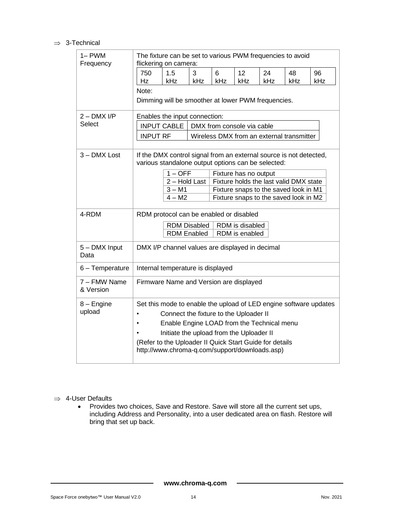#### $\Rightarrow$  3-Technical

| $1 - PWM$<br>Frequency    | The fixture can be set to various PWM frequencies to avoid<br>flickering on camera:                                      |     |     |                            |     |                                           |     |
|---------------------------|--------------------------------------------------------------------------------------------------------------------------|-----|-----|----------------------------|-----|-------------------------------------------|-----|
|                           | 750<br>1.5                                                                                                               | 3   | 6   | 12                         | 24  | 48                                        | 96  |
|                           | Hz<br>kHz                                                                                                                | kHz | kHz | kHz                        | kHz | kHz                                       | kHz |
|                           | Note:                                                                                                                    |     |     |                            |     |                                           |     |
|                           | Dimming will be smoother at lower PWM frequencies.                                                                       |     |     |                            |     |                                           |     |
| $2 - DMX I/P$             | Enables the input connection:                                                                                            |     |     |                            |     |                                           |     |
| Select                    | <b>INPUT CABLE</b>                                                                                                       |     |     | DMX from console via cable |     |                                           |     |
|                           | <b>INPUT RF</b>                                                                                                          |     |     |                            |     | Wireless DMX from an external transmitter |     |
| 3 - DMX Lost              | If the DMX control signal from an external source is not detected,<br>various standalone output options can be selected: |     |     |                            |     |                                           |     |
|                           | $1 - OFF$                                                                                                                |     |     | Fixture has no output      |     |                                           |     |
|                           | 2 - Hold Last<br>$3 - M1$                                                                                                |     |     |                            |     | Fixture holds the last valid DMX state    |     |
|                           | Fixture snaps to the saved look in M1<br>$4 - M2$<br>Fixture snaps to the saved look in M2                               |     |     |                            |     |                                           |     |
|                           |                                                                                                                          |     |     |                            |     |                                           |     |
| 4-RDM                     | RDM protocol can be enabled or disabled                                                                                  |     |     |                            |     |                                           |     |
|                           | <b>RDM Disabled</b><br>RDM is disabled<br>RDM is enabled                                                                 |     |     |                            |     |                                           |     |
|                           | <b>RDM Enabled</b>                                                                                                       |     |     |                            |     |                                           |     |
| 5 - DMX Input<br>Data     | DMX I/P channel values are displayed in decimal                                                                          |     |     |                            |     |                                           |     |
| 6 - Temperature           | Internal temperature is displayed                                                                                        |     |     |                            |     |                                           |     |
| 7 – FMW Name<br>& Version | Firmware Name and Version are displayed                                                                                  |     |     |                            |     |                                           |     |
| 8 - Engine                | Set this mode to enable the upload of LED engine software updates                                                        |     |     |                            |     |                                           |     |
| upload                    | Connect the fixture to the Uploader II<br>$\bullet$                                                                      |     |     |                            |     |                                           |     |
|                           | Enable Engine LOAD from the Technical menu<br>$\bullet$                                                                  |     |     |                            |     |                                           |     |
|                           | Initiate the upload from the Uploader II                                                                                 |     |     |                            |     |                                           |     |
|                           | (Refer to the Uploader II Quick Start Guide for details                                                                  |     |     |                            |     |                                           |     |
|                           | http://www.chroma-q.com/support/downloads.asp)                                                                           |     |     |                            |     |                                           |     |

 $\Rightarrow$  4-User Defaults

• Provides two choices, Save and Restore. Save will store all the current set ups, including Address and Personality, into a user dedicated area on flash. Restore will bring that set up back.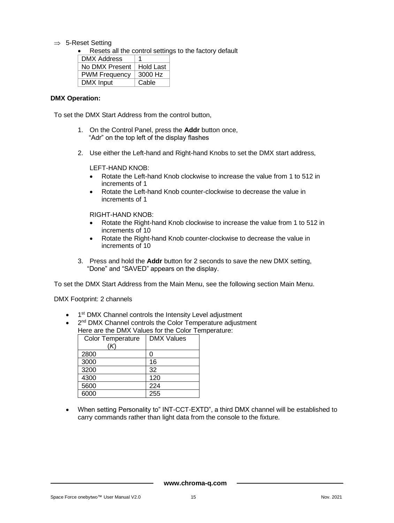$\Rightarrow$  5-Reset Setting

• Resets all the control settings to the factory default

| DMX Address          | 1                |
|----------------------|------------------|
| No DMX Present       | <b>Hold Last</b> |
| <b>PWM Frequency</b> | 3000 Hz          |
| DMX Input            | Cable            |

#### **DMX Operation:**

To set the DMX Start Address from the control button,

- 1. On the Control Panel, press the **Addr** button once, "Adr" on the top left of the display flashes
- 2. Use either the Left-hand and Right-hand Knobs to set the DMX start address,

LEFT-HAND KNOB:

- Rotate the Left-hand Knob clockwise to increase the value from 1 to 512 in increments of 1
- Rotate the Left-hand Knob counter-clockwise to decrease the value in increments of 1

RIGHT-HAND KNOB:

- Rotate the Right-hand Knob clockwise to increase the value from 1 to 512 in increments of 10
- Rotate the Right-hand Knob counter-clockwise to decrease the value in increments of 10
- 3. Press and hold the **Addr** button for 2 seconds to save the new DMX setting, "Done" and "SAVED" appears on the display.

To set the DMX Start Address from the Main Menu, see the following section Main Menu.

DMX Footprint: 2 channels

- 1<sup>st</sup> DMX Channel controls the Intensity Level adjustment
- 2<sup>nd</sup> DMX Channel controls the Color Temperature adjustment Here are the DMX Values for the Color Temperature:

| <b>Color Temperature</b> | <b>DMX Values</b> |
|--------------------------|-------------------|
| (K)                      |                   |
| 2800                     |                   |
| 3000                     | 16                |
| 3200                     | 32                |
| 4300                     | 120               |
| 5600                     | 224               |
| 6000                     | 255               |

• When setting Personality to" INT-CCT-EXTD", a third DMX channel will be established to carry commands rather than light data from the console to the fixture.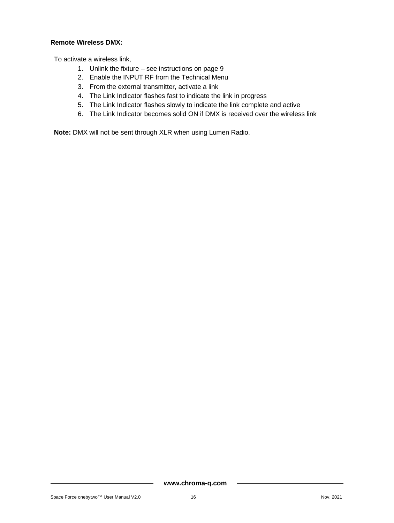#### **Remote Wireless DMX:**

To activate a wireless link,

- 1. Unlink the fixture see instructions on page 9
- 2. Enable the INPUT RF from the Technical Menu
- 3. From the external transmitter, activate a link
- 4. The Link Indicator flashes fast to indicate the link in progress
- 5. The Link Indicator flashes slowly to indicate the link complete and active
- 6. The Link Indicator becomes solid ON if DMX is received over the wireless link

**Note:** DMX will not be sent through XLR when using Lumen Radio.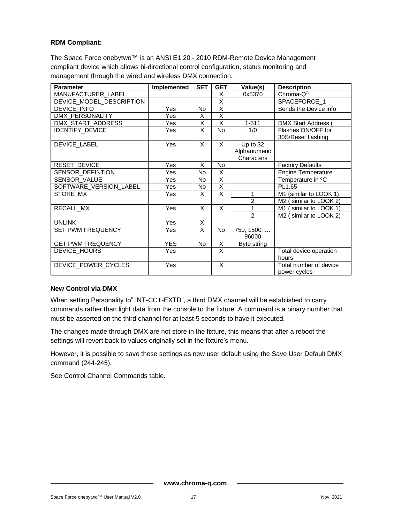#### **RDM Compliant:**

The Space Force onebytwo™ is an ANSI E1.20 - 2010 RDM-Remote Device Management compliant device which allows bi-directional control configuration, status monitoring and management through the wired and wireless DMX connection.

| <b>Parameter</b>          | Implemented | <b>SET</b>              | <b>GET</b>              | Value(s)                               | <b>Description</b>                       |
|---------------------------|-------------|-------------------------|-------------------------|----------------------------------------|------------------------------------------|
| <b>MANUFACTURER LABEL</b> |             |                         | X                       | 0x5370                                 | Chroma-Q <sup>®</sup>                    |
| DEVICE MODEL DESCRIPTION  |             |                         | X                       |                                        | SPACEFORCE_1                             |
| DEVICE INFO               | Yes         | No                      | $\overline{\mathsf{x}}$ |                                        | Sends the Device info                    |
| DMX_PERSONALITY           | Yes         | X                       | $\overline{\mathsf{x}}$ |                                        |                                          |
| DMX_START_ADDRESS         | Yes         | $\overline{\mathsf{x}}$ | $\overline{\mathsf{x}}$ | $1 - 511$                              | <b>DMX Start Address (</b>               |
| <b>IDENTIFY_DEVICE</b>    | Yes         | X                       | <b>No</b>               | 1/0                                    | Flashes ON/OFF for<br>30S/Reset flashing |
| DEVICE LABEL              | Yes         | X                       | X                       | Up to 32<br>Alphanumeric<br>Characters |                                          |
| <b>RESET DEVICE</b>       | Yes         | X                       | No                      |                                        | <b>Factory Defaults</b>                  |
| SENSOR_DEFINTION          | Yes         | <b>No</b>               | $\overline{\mathsf{x}}$ |                                        | <b>Engine Temperature</b>                |
| SENSOR_VALUE              | Yes         | <b>No</b>               | X                       |                                        | Temperature in °C                        |
| SOFTWARE_VERSION_LABEL    | Yes         | <b>No</b>               | X                       |                                        | PL1.65                                   |
| STORE_MX                  | Yes         | X                       | $\overline{\mathsf{x}}$ | 1                                      | M1 (similar to LOOK 1)                   |
|                           |             |                         |                         | $\overline{c}$                         | M2 (similar to LOOK 2)                   |
| RECALL_MX                 | Yes         | X                       | X                       | 1                                      | M1 (similar to LOOK 1)                   |
|                           |             |                         |                         | $\mathfrak{p}$                         | M2 (similar to LOOK 2)                   |
| <b>UNLINK</b>             | Yes         | X                       |                         |                                        |                                          |
| <b>SET PWM FREQUENCY</b>  | Yes         | X                       | No                      | 750, 1500,<br>96000                    |                                          |
| <b>GET PWM FREQUENCY</b>  | <b>YES</b>  | <b>No</b>               | X                       | Byte string                            |                                          |
| DEVICE_HOURS              | Yes         |                         | X                       |                                        | Total device operation<br>hours          |
| DEVICE_POWER_CYCLES       | Yes         |                         | X                       |                                        | Total number of device<br>power cycles   |

#### **New Control via DMX**

When setting Personality to" INT-CCT-EXTD", a third DMX channel will be established to carry commands rather than light data from the console to the fixture. A command is a binary number that must be asserted on the third channel for at least 5 seconds to have it executed.

The changes made through DMX are not store in the fixture, this means that after a reboot the settings will revert back to values originally set in the fixture's menu.

However, it is possible to save these settings as new user default using the Save User Default DMX command (244-245).

See Control Channel Commands table.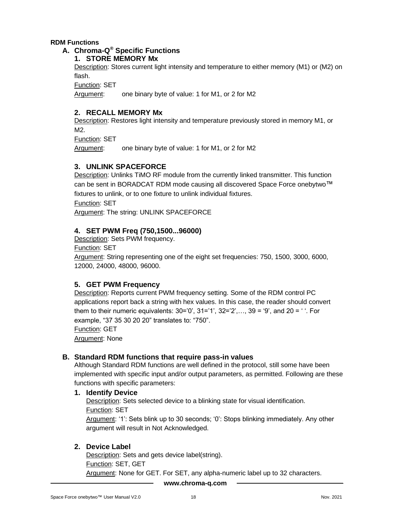#### **RDM Functions**

#### **A. Chroma-Q ® Specific Functions**

#### **1. STORE MEMORY Mx**

Description: Stores current light intensity and temperature to either memory (M1) or (M2) on flash.

Function: SET

Argument: one binary byte of value: 1 for M1, or 2 for M2

#### **2. RECALL MEMORY Mx**

Description: Restores light intensity and temperature previously stored in memory M1, or M2.

Function: SET

Argument: one binary byte of value: 1 for M1, or 2 for M2

#### **3. UNLINK SPACEFORCE**

Description: Unlinks TiMO RF module from the currently linked transmitter. This function can be sent in BORADCAT RDM mode causing all discovered Space Force onebytwo™ fixtures to unlink, or to one fixture to unlink individual fixtures. Function: SET

Argument: The string: UNLINK SPACEFORCE

#### **4. SET PWM Freq (750,1500...96000)**

Description: Sets PWM frequency.

Function: SET

Argument: String representing one of the eight set frequencies: 750, 1500, 3000, 6000, 12000, 24000, 48000, 96000.

#### **5. GET PWM Frequency**

Description: Reports current PWM frequency setting. Some of the RDM control PC applications report back a string with hex values. In this case, the reader should convert them to their numeric equivalents:  $30=0'$ ,  $31=1'$ ,  $32=2'$ ,...,  $39=9'$ , and  $20=1'$ . For example, "37 35 30 20 20" translates to: "750". Function: GET Argument: None

#### **B. Standard RDM functions that require pass-in values**

Although Standard RDM functions are well defined in the protocol, still some have been implemented with specific input and/or output parameters, as permitted. Following are these functions with specific parameters:

#### **1. Identify Device**

Description: Sets selected device to a blinking state for visual identification. Function: SET Argument: '1': Sets blink up to 30 seconds; '0': Stops blinking immediately. Any other argument will result in Not Acknowledged.

#### **2. Device Label**

Description: Sets and gets device label(string). Function: SET, GET Argument: None for GET. For SET, any alpha-numeric label up to 32 characters.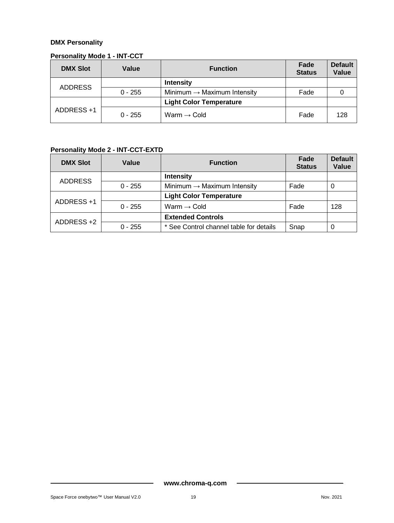#### **DMX Personality**

#### **Personality Mode 1 - INT-CCT**

| <b>DMX Slot</b>             | Value     | <b>Function</b>                         | Fade<br><b>Status</b> | <b>Default</b><br>Value |
|-----------------------------|-----------|-----------------------------------------|-----------------------|-------------------------|
|                             |           | <b>Intensity</b>                        |                       |                         |
| <b>ADDRESS</b><br>$0 - 255$ |           | Minimum $\rightarrow$ Maximum Intensity | Fade                  |                         |
|                             |           | <b>Light Color Temperature</b>          |                       |                         |
| ADDRESS +1                  | $0 - 255$ | Warm $\rightarrow$ Cold                 | Fade                  | 128                     |

### **Personality Mode 2 - INT-CCT-EXTD**

| <b>DMX Slot</b>                | Value     | <b>Function</b>                         | Fade<br><b>Status</b> | <b>Default</b><br>Value |
|--------------------------------|-----------|-----------------------------------------|-----------------------|-------------------------|
| <b>ADDRESS</b>                 |           | <b>Intensity</b>                        |                       |                         |
| $0 - 255$                      |           | Minimum $\rightarrow$ Maximum Intensity | Fade                  | 0                       |
| <b>Light Color Temperature</b> |           |                                         |                       |                         |
| ADDRESS +1                     | $0 - 255$ | Warm $\rightarrow$ Cold                 | Fade                  | 128                     |
| ADDRESS +2                     |           | <b>Extended Controls</b>                |                       |                         |
|                                | $0 - 255$ | * See Control channel table for details | Snap                  | 0                       |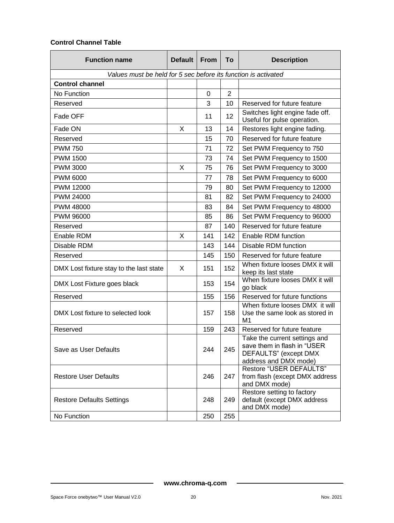#### **Control Channel Table**

| <b>Function name</b>                                           | <b>Default</b> | <b>From</b> | To             | <b>Description</b>                                                                                             |
|----------------------------------------------------------------|----------------|-------------|----------------|----------------------------------------------------------------------------------------------------------------|
| Values must be held for 5 sec before its function is activated |                |             |                |                                                                                                                |
| <b>Control channel</b>                                         |                |             |                |                                                                                                                |
| No Function                                                    |                | 0           | $\overline{2}$ |                                                                                                                |
| Reserved                                                       |                | 3           | 10             | Reserved for future feature                                                                                    |
| Fade OFF                                                       |                | 11          | 12             | Switches light engine fade off.<br>Useful for pulse operation.                                                 |
| Fade ON                                                        | X              | 13          | 14             | Restores light engine fading.                                                                                  |
| Reserved                                                       |                | 15          | 70             | Reserved for future feature                                                                                    |
| <b>PWM 750</b>                                                 |                | 71          | 72             | Set PWM Frequency to 750                                                                                       |
| <b>PWM 1500</b>                                                |                | 73          | 74             | Set PWM Frequency to 1500                                                                                      |
| <b>PWM 3000</b>                                                | Х              | 75          | 76             | Set PWM Frequency to 3000                                                                                      |
| <b>PWM 6000</b>                                                |                | 77          | 78             | Set PWM Frequency to 6000                                                                                      |
| PWM 12000                                                      |                | 79          | 80             | Set PWM Frequency to 12000                                                                                     |
| PWM 24000                                                      |                | 81          | 82             | Set PWM Frequency to 24000                                                                                     |
| <b>PWM 48000</b>                                               |                | 83          | 84             | Set PWM Frequency to 48000                                                                                     |
| PWM 96000                                                      |                | 85          | 86             | Set PWM Frequency to 96000                                                                                     |
| Reserved                                                       |                | 87          | 140            | Reserved for future feature                                                                                    |
| Enable RDM                                                     | X              | 141         | 142            | Enable RDM function                                                                                            |
| Disable RDM                                                    |                | 143         | 144            | Disable RDM function                                                                                           |
| Reserved                                                       |                | 145         | 150            | Reserved for future feature                                                                                    |
| DMX Lost fixture stay to the last state                        | X              | 151         | 152            | When fixture looses DMX it will<br>keep its last state                                                         |
| DMX Lost Fixture goes black                                    |                | 153         | 154            | When fixture looses DMX it will<br>go black                                                                    |
| Reserved                                                       |                | 155         | 156            | Reserved for future functions                                                                                  |
| DMX Lost fixture to selected look                              |                | 157         | 158            | When fixture looses DMX it will<br>Use the same look as stored in<br>M1                                        |
| Reserved                                                       |                | 159         | 243            | Reserved for future feature                                                                                    |
| Save as User Defaults                                          |                | 244         | 245            | Take the current settings and<br>save them in flash in "USER<br>DEFAULTS" (except DMX<br>address and DMX mode) |
| <b>Restore User Defaults</b>                                   |                | 246         | 247            | <b>Restore "USER DEFAULTS"</b><br>from flash (except DMX address<br>and DMX mode)                              |
| <b>Restore Defaults Settings</b>                               |                | 248         | 249            | Restore setting to factory<br>default (except DMX address<br>and DMX mode)                                     |
| No Function                                                    |                | 250         | 255            |                                                                                                                |

 $\blacksquare$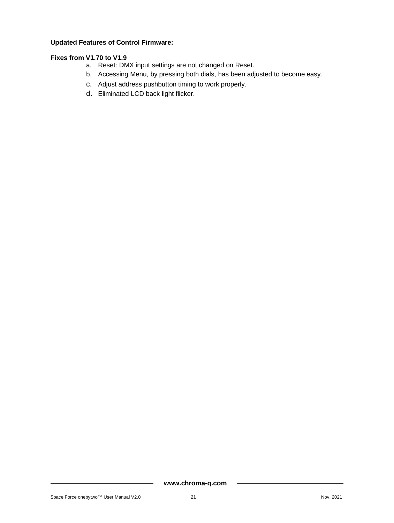#### **Updated Features of Control Firmware:**

#### **Fixes from V1.70 to V1.9**

- a. Reset: DMX input settings are not changed on Reset.
- b. Accessing Menu, by pressing both dials, has been adjusted to become easy.
- c. Adjust address pushbutton timing to work properly.
- d. Eliminated LCD back light flicker.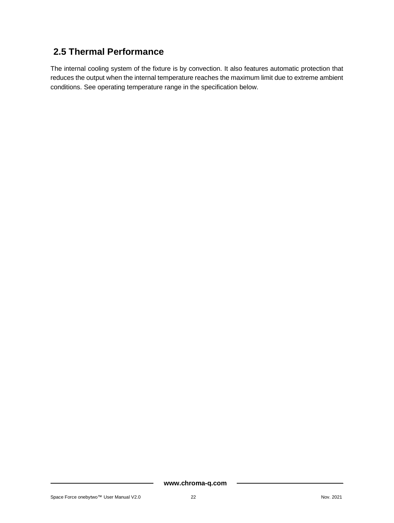### <span id="page-22-0"></span>**2.5 Thermal Performance**

The internal cooling system of the fixture is by convection. It also features automatic protection that reduces the output when the internal temperature reaches the maximum limit due to extreme ambient conditions. See operating temperature range in the specification below.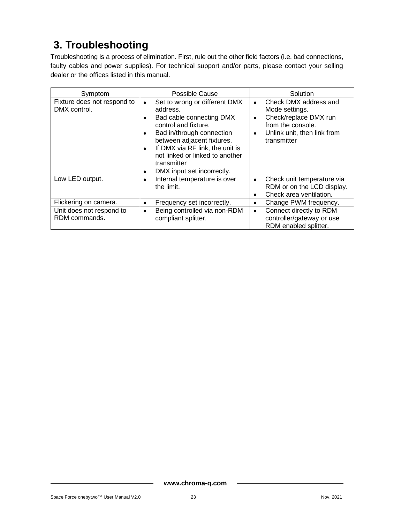# <span id="page-23-0"></span>**3. Troubleshooting**

Troubleshooting is a process of elimination. First, rule out the other field factors (i.e. bad connections, faulty cables and power supplies). For technical support and/or parts, please contact your selling dealer or the offices listed in this manual.

| Symptom                                     | Possible Cause                                                                                                                                                                                                                                                                                     | Solution                                                                                                                                                   |
|---------------------------------------------|----------------------------------------------------------------------------------------------------------------------------------------------------------------------------------------------------------------------------------------------------------------------------------------------------|------------------------------------------------------------------------------------------------------------------------------------------------------------|
| Fixture does not respond to<br>DMX control. | Set to wrong or different DMX<br>٠<br>address.<br>Bad cable connecting DMX<br>control and fixture.<br>Bad in/through connection<br>between adjacent fixtures.<br>If DMX via RF link, the unit is<br>$\bullet$<br>not linked or linked to another<br>transmitter<br>DMX input set incorrectly.<br>٠ | Check DMX address and<br>$\bullet$<br>Mode settings.<br>Check/replace DMX run<br>٠<br>from the console.<br>Unlink unit, then link from<br>٠<br>transmitter |
| Low LED output.                             | Internal temperature is over<br>٠<br>the limit.                                                                                                                                                                                                                                                    | Check unit temperature via<br>$\bullet$<br>RDM or on the LCD display.<br>Check area ventilation.<br>$\bullet$                                              |
| Flickering on camera.                       | Frequency set incorrectly.<br>٠                                                                                                                                                                                                                                                                    | Change PWM frequency.<br>٠                                                                                                                                 |
| Unit does not respond to<br>RDM commands.   | Being controlled via non-RDM<br>٠<br>compliant splitter.                                                                                                                                                                                                                                           | Connect directly to RDM<br>$\bullet$<br>controller/gateway or use<br>RDM enabled splitter.                                                                 |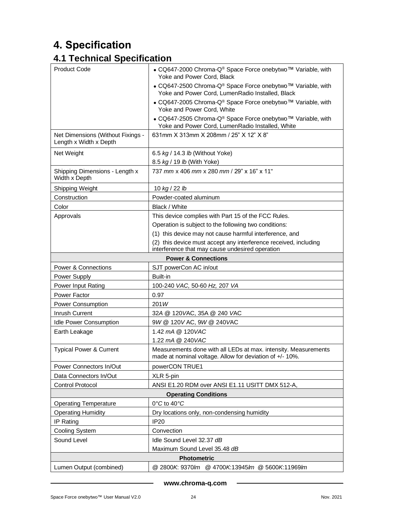# <span id="page-24-0"></span>**4. Specification**

## <span id="page-24-1"></span>**4.1 Technical Specification**

| <b>Product Code</b>                                         | • CQ647-2000 Chroma-Q® Space Force onebytwo™ Variable, with<br>Yoke and Power Cord, Black                                   |  |
|-------------------------------------------------------------|-----------------------------------------------------------------------------------------------------------------------------|--|
|                                                             | • CQ647-2500 Chroma-Q® Space Force onebytwo™ Variable, with<br>Yoke and Power Cord, LumenRadio Installed, Black             |  |
|                                                             | • CQ647-2005 Chroma-Q <sup>®</sup> Space Force onebytwo™ Variable, with<br>Yoke and Power Cord, White                       |  |
|                                                             | • CQ647-2505 Chroma-Q <sup>®</sup> Space Force onebytwo <sup>™</sup> Variable, with                                         |  |
|                                                             | Yoke and Power Cord, LumenRadio Installed, White                                                                            |  |
| Net Dimensions (Without Fixings -<br>Length x Width x Depth | 631mm X 313mm X 208mm / 25" X 12" X 8"                                                                                      |  |
| Net Weight                                                  | 6.5 kg / 14.3 lb (Without Yoke)                                                                                             |  |
|                                                             | 8.5 kg / 19 lb (With Yoke)                                                                                                  |  |
| Shipping Dimensions - Length x<br>Width x Depth             | 737 mm x 406 mm x 280 mm / 29" x 16" x 11"                                                                                  |  |
| Shipping Weight                                             | 10 kg / 22 lb                                                                                                               |  |
| Construction                                                | Powder-coated aluminum                                                                                                      |  |
| Color                                                       | Black / White                                                                                                               |  |
| Approvals                                                   | This device complies with Part 15 of the FCC Rules.                                                                         |  |
|                                                             | Operation is subject to the following two conditions:                                                                       |  |
|                                                             | (1) this device may not cause harmful interference, and                                                                     |  |
|                                                             | (2) this device must accept any interference received, including<br>interference that may cause undesired operation         |  |
|                                                             | <b>Power &amp; Connections</b>                                                                                              |  |
| Power & Connections                                         | SJT powerCon AC in/out                                                                                                      |  |
| Power Supply                                                | Built-in                                                                                                                    |  |
| Power Input Rating                                          | 100-240 VAC, 50-60 Hz, 207 VA                                                                                               |  |
| Power Factor                                                | 0.97                                                                                                                        |  |
| <b>Power Consumption</b>                                    | 201W                                                                                                                        |  |
| Inrush Current                                              | 32A @ 120 VAC, 35A @ 240 VAC                                                                                                |  |
| <b>Idle Power Consumption</b>                               | 9W @ 120VAC, 9W @ 240VAC                                                                                                    |  |
| Earth Leakage                                               | 1.42 mA @ 120VAC                                                                                                            |  |
|                                                             | 1.22 mA @ 240VAC                                                                                                            |  |
| <b>Typical Power &amp; Current</b>                          | Measurements done with all LEDs at max. intensity. Measurements<br>made at nominal voltage. Allow for deviation of +/- 10%. |  |
| Power Connectors In/Out                                     | powerCON TRUE1                                                                                                              |  |
| Data Connectors In/Out                                      | XLR 5-pin                                                                                                                   |  |
| <b>Control Protocol</b>                                     | ANSI E1.20 RDM over ANSI E1.11 USITT DMX 512-A,                                                                             |  |
| <b>Operating Conditions</b>                                 |                                                                                                                             |  |
| <b>Operating Temperature</b>                                | 0°C to 40°C                                                                                                                 |  |
| <b>Operating Humidity</b>                                   | Dry locations only, non-condensing humidity                                                                                 |  |
| IP Rating                                                   | <b>IP20</b>                                                                                                                 |  |
| <b>Cooling System</b>                                       | Convection                                                                                                                  |  |
| Sound Level                                                 | Idle Sound Level 32.37 dB                                                                                                   |  |
| Maximum Sound Level 35.48 dB                                |                                                                                                                             |  |
| <b>Photometric</b>                                          |                                                                                                                             |  |
| Lumen Output (combined)                                     | @ 2800K: 9370lm @ 4700K:13945lm @ 5600K:11969lm                                                                             |  |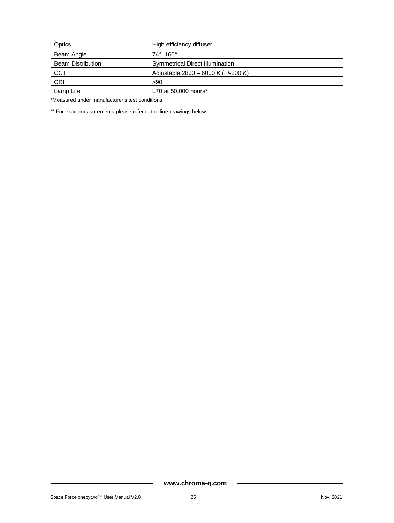| Optics                   | High efficiency diffuser               |
|--------------------------|----------------------------------------|
| Beam Angle               | $74^{\circ}$ . 160 $^{\circ}$          |
| <b>Beam Distribution</b> | <b>Symmetrical Direct Illumination</b> |
| <b>CCT</b>               | Adjustable 2800 – 6000 K (+/-200 K)    |
| <b>CRI</b>               | >90                                    |
| Lamp Life                | L70 at 50,000 hours*                   |

\*Measured under manufacturer's test conditions

\*\* For exact measurements please refer to the line drawings below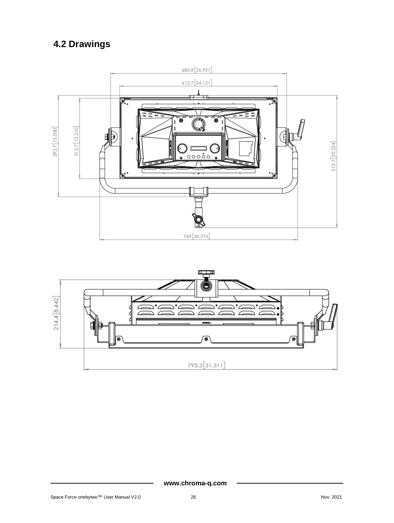# <span id="page-26-0"></span>**4.2 Drawings**



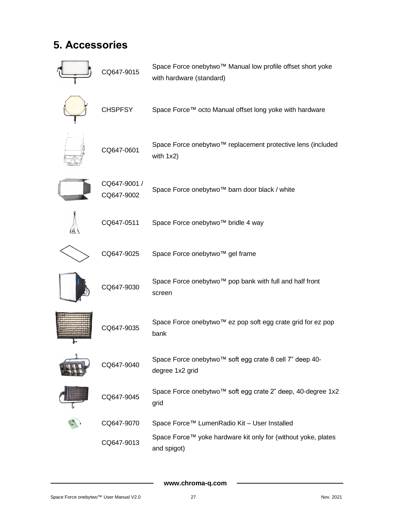# <span id="page-27-0"></span>**5. Accessories**

| CQ647-9015                 | Space Force onebytwo™ Manual low profile offset short yoke<br>with hardware (standard) |
|----------------------------|----------------------------------------------------------------------------------------|
| <b>CHSPFSY</b>             | Space Force™ octo Manual offset long yoke with hardware                                |
| CQ647-0601                 | Space Force onebytwo™ replacement protective lens (included<br>with 1x2)               |
| CQ647-9001 /<br>CQ647-9002 | Space Force onebytwo™ barn door black / white                                          |
| CQ647-0511                 | Space Force onebytwo™ bridle 4 way                                                     |
| CQ647-9025                 | Space Force onebytwo™ gel frame                                                        |
| CQ647-9030                 | Space Force onebytwo™ pop bank with full and half front<br>screen                      |
| CQ647-9035                 | Space Force onebytwo™ ez pop soft egg crate grid for ez pop<br>bank                    |
| CQ647-9040                 | Space Force onebytwo™ soft egg crate 8 cell 7" deep 40-<br>degree 1x2 grid             |
| CQ647-9045                 | Space Force onebytwo™ soft egg crate 2" deep, 40-degree 1x2<br>grid                    |
| CQ647-9070                 | Space Force™ LumenRadio Kit - User Installed                                           |
| CQ647-9013                 | Space Force™ yoke hardware kit only for (without yoke, plates<br>and spigot)           |